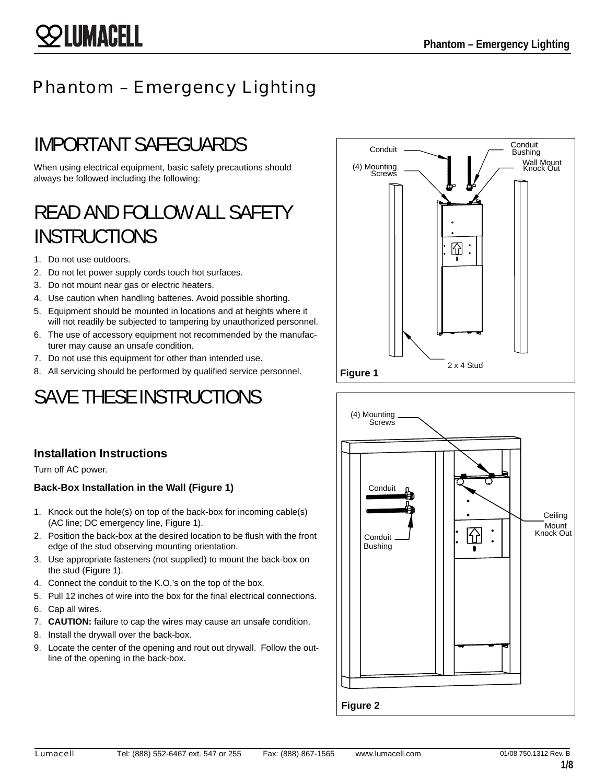## Phantom – Emergency Lighting

# IMPORTANT SAFEGUARDS

When using electrical equipment, basic safety precautions should always be followed including the following:

# READ AND FOLLOW ALL SAFETY INSTRUCTIONS

- 1. Do not use outdoors.
- 2. Do not let power supply cords touch hot surfaces.
- 3. Do not mount near gas or electric heaters.
- 4. Use caution when handling batteries. Avoid possible shorting.
- 5. Equipment should be mounted in locations and at heights where it will not readily be subjected to tampering by unauthorized personnel.
- 6. The use of accessory equipment not recommended by the manufacturer may cause an unsafe condition.
- 7. Do not use this equipment for other than intended use.
- 8. All servicing should be performed by qualified service personnel.

# SAVE THESE INSTRUCTIONS



Turn off AC power.

#### **Back-Box Installation in the Wall (Figure 1)**

- 1. Knock out the hole(s) on top of the back-box for incoming cable(s) (AC line; DC emergency line, Figure 1).
- 2. Position the back-box at the desired location to be flush with the front edge of the stud observing mounting orientation.
- 3. Use appropriate fasteners (not supplied) to mount the back-box on the stud (Figure 1).
- 4. Connect the conduit to the K.O.'s on the top of the box.
- 5. Pull 12 inches of wire into the box for the final electrical connections.
- 6. Cap all wires.
- 7. **CAUTION:** failure to cap the wires may cause an unsafe condition.
- 8. Install the drywall over the back-box.
- 9. Locate the center of the opening and rout out drywall. Follow the outline of the opening in the back-box.



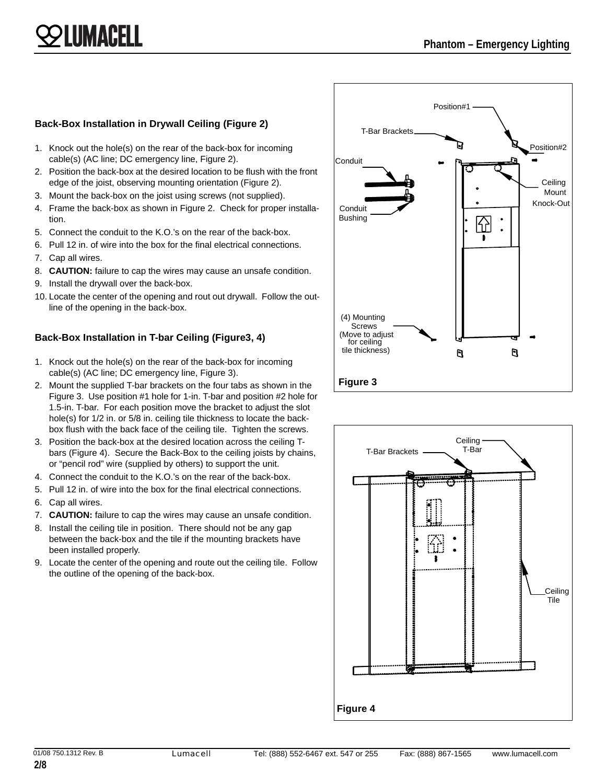# LUMACELL

#### **Back-Box Installation in Drywall Ceiling (Figure 2)**

- 1. Knock out the hole(s) on the rear of the back-box for incoming cable(s) (AC line; DC emergency line, Figure 2).
- 2. Position the back-box at the desired location to be flush with the front edge of the joist, observing mounting orientation (Figure 2).
- 3. Mount the back-box on the joist using screws (not supplied).
- 4. Frame the back-box as shown in Figure 2. Check for proper installation.
- 5. Connect the conduit to the K.O.'s on the rear of the back-box.
- 6. Pull 12 in. of wire into the box for the final electrical connections.
- 7. Cap all wires.
- 8. **CAUTION:** failure to cap the wires may cause an unsafe condition.
- 9. Install the drywall over the back-box.
- 10. Locate the center of the opening and rout out drywall. Follow the outline of the opening in the back-box.

#### **Back-Box Installation in T-bar Ceiling (Figure3, 4)**

- 1. Knock out the hole(s) on the rear of the back-box for incoming cable(s) (AC line; DC emergency line, Figure 3).
- 2. Mount the supplied T-bar brackets on the four tabs as shown in the Figure 3. Use position #1 hole for 1-in. T-bar and position #2 hole for 1.5-in. T-bar. For each position move the bracket to adjust the slot hole(s) for 1/2 in. or 5/8 in. ceiling tile thickness to locate the backbox flush with the back face of the ceiling tile. Tighten the screws.
- 3. Position the back-box at the desired location across the ceiling Tbars (Figure 4). Secure the Back-Box to the ceiling joists by chains, or "pencil rod" wire (supplied by others) to support the unit.
- 4. Connect the conduit to the K.O.'s on the rear of the back-box.
- 5. Pull 12 in. of wire into the box for the final electrical connections.
- 6. Cap all wires.
- 7. **CAUTION:** failure to cap the wires may cause an unsafe condition.
- 8. Install the ceiling tile in position. There should not be any gap between the back-box and the tile if the mounting brackets have been installed properly.
- 9. Locate the center of the opening and route out the ceiling tile. Follow the outline of the opening of the back-box.



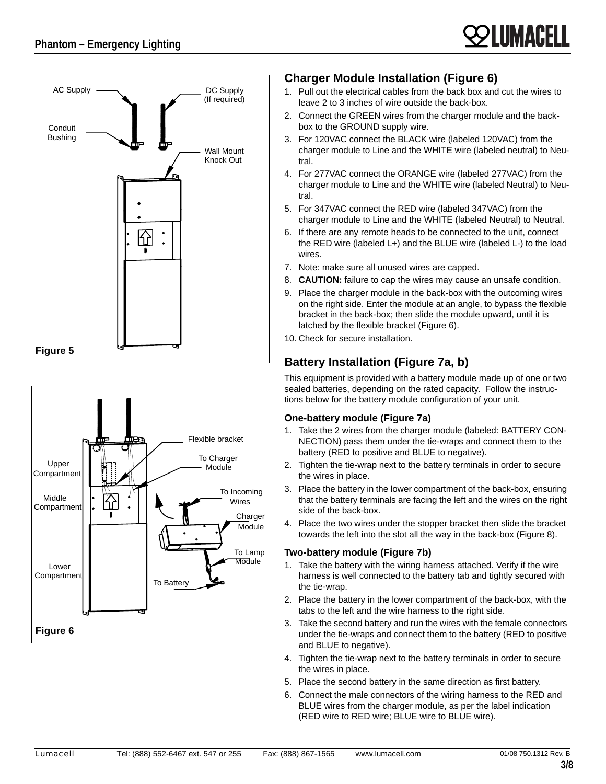





#### **Charger Module Installation (Figure 6)**

- 1. Pull out the electrical cables from the back box and cut the wires to leave 2 to 3 inches of wire outside the back-box.
- 2. Connect the GREEN wires from the charger module and the backbox to the GROUND supply wire.
- 3. For 120VAC connect the BLACK wire (labeled 120VAC) from the charger module to Line and the WHITE wire (labeled neutral) to Neutral.
- 4. For 277VAC connect the ORANGE wire (labeled 277VAC) from the charger module to Line and the WHITE wire (labeled Neutral) to Neutral.
- 5. For 347VAC connect the RED wire (labeled 347VAC) from the charger module to Line and the WHITE (labeled Neutral) to Neutral.
- 6. If there are any remote heads to be connected to the unit, connect the RED wire (labeled L+) and the BLUE wire (labeled L-) to the load wires.
- 7. Note: make sure all unused wires are capped.
- 8. **CAUTION:** failure to cap the wires may cause an unsafe condition.
- 9. Place the charger module in the back-box with the outcoming wires on the right side. Enter the module at an angle, to bypass the flexible bracket in the back-box; then slide the module upward, until it is latched by the flexible bracket (Figure 6).
- 10. Check for secure installation.

### **Battery Installation (Figure 7a, b)**

This equipment is provided with a battery module made up of one or two sealed batteries, depending on the rated capacity. Follow the instructions below for the battery module configuration of your unit.

#### **One-battery module (Figure 7a)**

- 1. Take the 2 wires from the charger module (labeled: BATTERY CON-NECTION) pass them under the tie-wraps and connect them to the battery (RED to positive and BLUE to negative).
- 2. Tighten the tie-wrap next to the battery terminals in order to secure the wires in place.
- 3. Place the battery in the lower compartment of the back-box, ensuring that the battery terminals are facing the left and the wires on the right side of the back-box.
- 4. Place the two wires under the stopper bracket then slide the bracket towards the left into the slot all the way in the back-box (Figure 8).

#### **Two-battery module (Figure 7b)**

- 1. Take the battery with the wiring harness attached. Verify if the wire harness is well connected to the battery tab and tightly secured with the tie-wrap.
- 2. Place the battery in the lower compartment of the back-box, with the tabs to the left and the wire harness to the right side.
- 3. Take the second battery and run the wires with the female connectors under the tie-wraps and connect them to the battery (RED to positive and BLUE to negative).
- 4. Tighten the tie-wrap next to the battery terminals in order to secure the wires in place.
- 5. Place the second battery in the same direction as first battery.
- 6. Connect the male connectors of the wiring harness to the RED and BLUE wires from the charger module, as per the label indication (RED wire to RED wire; BLUE wire to BLUE wire).